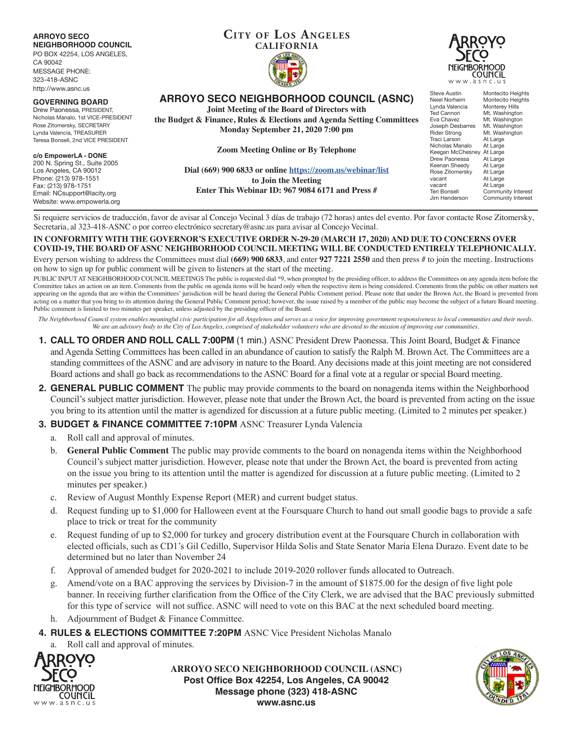#### **ARROYO SECO NEIGHBORHOOD COUNCIL**

PO BOX 42254, LOS ANGELES,

CA 90042 MESSAGE PHONE: 323-418-ASNC http://www.asnc.us

#### **GOVERNING BOARD**

Drew Paonessa, PRESIDENT, Nicholas Manalo, 1st VICE-PRESIDENT Rose Zitomersky, SECRETARY Lynda Valencia, TREASURER Teresa Bonsell, 2nd VICE PRESIDENT

#### **c/o EmpowerLA - DONE**

200 N. Spring St., Suite 2005 Los Angeles, CA 90012 Phone: (213) 978-1551 Fax: (213) 978-1751 Email: NCsupport@lacity.org Website: www.empowerla.org

# **CITY OF LOS ANGELES CALIFORNIA**



**ARROYO SECO NEIGHBORHOOD COUNCIL (ASNC)**

**Joint Meeting of the Board of Directors with**

**the Budget & Finance, Rules & Elections and Agenda Setting Committees Monday September 21, 2020 7:00 pm**

**Zoom Meeting Online or By Telephone**

**Dial (669) 900 6833 or online https://zoom.us/webinar/list to Join the Meeting Enter This Webinar ID: 967 9084 6171 and Press #**

Steve Austin Montecito Heights<br>
Neiel Norheim Montecito Heights Neiel Norheim Montecito Heights<br>Lynda Valencia Monterey Hills Lynda Valencia Monterey Hill<mark>s</mark><br>Ted Cannon Mt. Washingto Ted Cannon Mt. Washington<br>Eva Chavez Mt. Washington Mt. Washington<br>Mt. Washington Joseph Desbarres<br>Rider Strong Rider Strong Mt. Washington<br>Traci Larson At Large At Large<br>At Large Nicholas Manalo At Large<br>Keegan McChesney At Large Keegan McChesney At Large<br>Drew Paonessa At Large Drew Paonessa At Large<br>Keenan Sheedy At Large Keenan Sheedy At Large<br>Rose Zitomersky At Large Rose Zitomersky<br>vacant vacant At Large<br>vacant At Large vacant At Large<br>Teri Bonsell Commun Teri Bonsell Community Interest<br>Jim Henderson Community Interest Community Interest

Si requiere servicios de traducción, favor de avisar al Concejo Vecinal 3 días de trabajo (72 horas) antes del evento. Por favor contacte Rose Zitomersky, Secretaria, al 323-418-ASNC o por correo electrónico secretary@asnc.us para avisar al Concejo Vecinal.

**IN CONFORMITY WITH THE GOVERNOR'S EXECUTIVE ORDER N-29-20 (MARCH 17, 2020) AND DUE TO CONCERNS OVER COVID-19, THE BOARD OF ASNC NEIGHBORHOOD COUNCIL MEETING WILL BE CONDUCTED ENTIRELY TELEPHONICALLY.**

Every person wishing to address the Committees must dial **(669) 900 6833**, and enter **927 7221 2550** and then press # to join the meeting. Instructions on how to sign up for public comment will be given to listeners at the start of the meeting.

PUBLIC INPUT AT NEIGHBORHOOD COUNCIL MEETINGS The public is requested dial \*9, when prompted by the presiding officer, to address the Committees on any agenda item before the Committee takes an action on an item. Comments from the public on agenda items will be heard only when the respective item is being considered. Comments from the public on other matters not appearing on the agenda that are within the Committees' jurisdiction will be heard during the General Public Comment period. Please note that under the Brown Act, the Board is prevented from acting on a matter that you bring to its attention during the General Public Comment period; however, the issue raised by a member of the public may become the subject of a future Board meeting. Public comment is limited to two minutes per speaker, unless adjusted by the presiding officer of the Board.

*The Neighborhood Council system enables meaningful civic participation for all Angelenos and serves as a voice for improving government responsiveness to local communities and their needs. We are an advisory body to the City of Los Angeles, comprised of stakeholder volunteers who are devoted to the mission of improving our communities.*

- **1. CALL TO ORDER AND ROLL CALL 7:00PM** (1 min.) ASNC President Drew Paonessa. This Joint Board, Budget & Finance and Agenda Setting Committees has been called in an abundance of caution to satisfy the Ralph M. Brown Act. The Committees are a standing committees of the ASNC and are advisory in nature to the Board. Any decisions made at this joint meeting are not considered Board actions and shall go back as recommendations to the ASNC Board for a final vote at a regular or special Board meeting.
- **2. GENERAL PUBLIC COMMENT** The public may provide comments to the board on nonagenda items within the Neighborhood Council's subject matter jurisdiction. However, please note that under the Brown Act, the board is prevented from acting on the issue you bring to its attention until the matter is agendized for discussion at a future public meeting. (Limited to 2 minutes per speaker.)

## **3. BUDGET & FINANCE COMMITTEE 7:10PM** ASNC Treasurer Lynda Valencia

- a. Roll call and approval of minutes.
- b. **General Public Comment** The public may provide comments to the board on nonagenda items within the Neighborhood Council's subject matter jurisdiction. However, please note that under the Brown Act, the board is prevented from acting on the issue you bring to its attention until the matter is agendized for discussion at a future public meeting. (Limited to 2 minutes per speaker.)
- c. Review of August Monthly Expense Report (MER) and current budget status.
- d. Request funding up to \$1,000 for Halloween event at the Foursquare Church to hand out small goodie bags to provide a safe place to trick or treat for the community
- e. Request funding of up to \$2,000 for turkey and grocery distribution event at the Foursquare Church in collaboration with elected officials, such as CD1's Gil Cedillo, Supervisor Hilda Solis and State Senator Maria Elena Durazo. Event date to be determined but no later than November 24
- f. Approval of amended budget for 2020-2021 to include 2019-2020 rollover funds allocated to Outreach.
- Amend/vote on a BAC approving the services by Division-7 in the amount of \$1875.00 for the design of five light pole banner. In receiving further clarification from the Office of the City Clerk, we are advised that the BAC previously submitted for this type of service will not suffice. ASNC will need to vote on this BAC at the next scheduled board meeting.
- h. Adjournment of Budget & Finance Committee.

**4. RULES & ELECTIONS COMMITTEE 7:20PM** ASNC Vice President Nicholas Manalo

Roll call and approval of minutes.



**ARROYO SECO NEIGHBORHOOD COUNCIL (ASNC) Post Office Box 42254, Los Angeles, CA 90042 Message phone (323) 418-ASNC www.asnc.us**